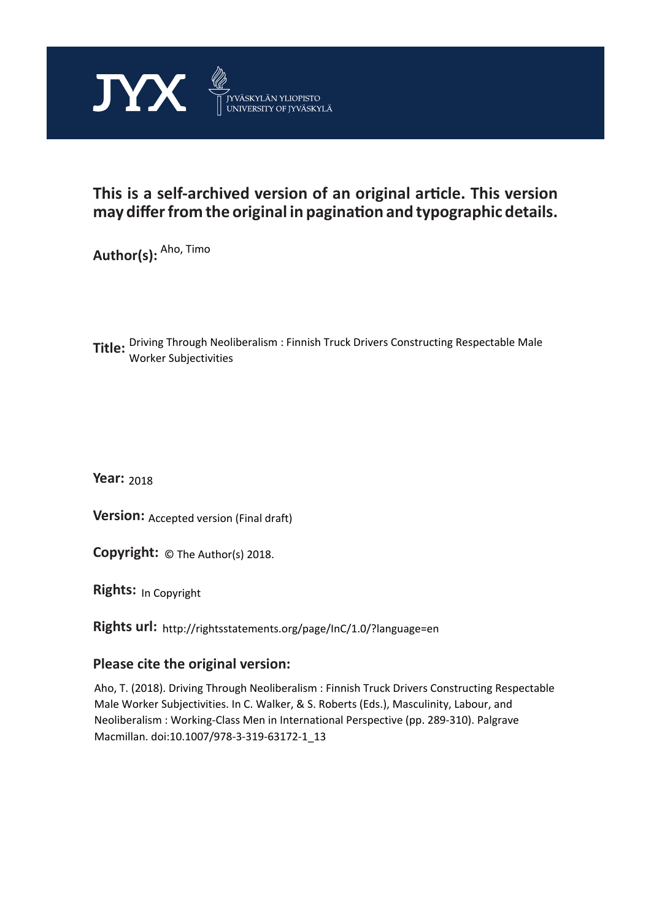

# **This is a self-archived version of an original article. This version may differ from the original in pagination and typographic details.**

**Author(s):** <sup>Aho, Timo</sup>

**Title:**  Driving Through Neoliberalism : Finnish Truck Drivers Constructing Respectable Male Worker Subjectivities

**Year:**  2018

**Version: Accepted version (Final draft)** 

**Version:** Accepted version (Final draft)<br>**Copyright:** © The Author(s) 2018.

**Rights:** In Copyright

**Rights url:**  http://rightsstatements.org/page/InC/1.0/?language=en

# **Please cite the original version:**

Aho, T. (2018). Driving Through Neoliberalism : Finnish Truck Drivers Constructing Respectable Male Worker Subjectivities. In C. Walker, & S. Roberts (Eds.), Masculinity, Labour, and Neoliberalism : Working-Class Men in International Perspective (pp. 289-310). Palgrave Macmillan. doi:10.1007/978-3-319-63172-1\_13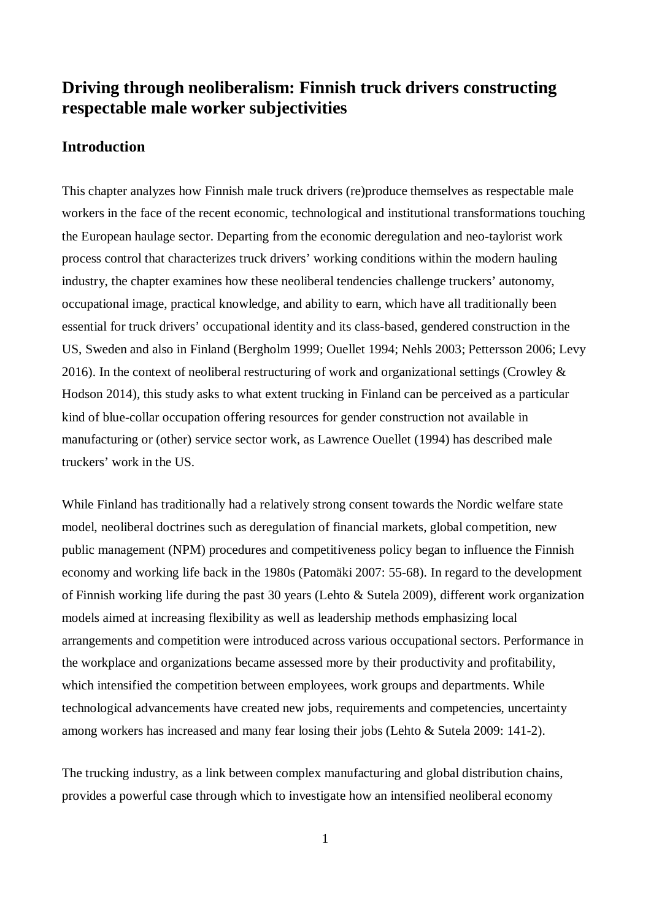# **Driving through neoliberalism: Finnish truck drivers constructing respectable male worker subjectivities**

# **Introduction**

This chapter analyzes how Finnish male truck drivers (re)produce themselves as respectable male workers in the face of the recent economic, technological and institutional transformations touching the European haulage sector. Departing from the economic deregulation and neo-taylorist work process control that characterizes truck drivers' working conditions within the modern hauling industry, the chapter examines how these neoliberal tendencies challenge truckers' autonomy, occupational image, practical knowledge, and ability to earn, which have all traditionally been essential for truck drivers' occupational identity and its class-based, gendered construction in the US, Sweden and also in Finland (Bergholm 1999; Ouellet 1994; Nehls 2003; Pettersson 2006; Levy 2016). In the context of neoliberal restructuring of work and organizational settings (Crowley  $\&$ Hodson 2014), this study asks to what extent trucking in Finland can be perceived as a particular kind of blue-collar occupation offering resources for gender construction not available in manufacturing or (other) service sector work, as Lawrence Ouellet (1994) has described male truckers' work in the US.

While Finland has traditionally had a relatively strong consent towards the Nordic welfare state model, neoliberal doctrines such as deregulation of financial markets, global competition, new public management (NPM) procedures and competitiveness policy began to influence the Finnish economy and working life back in the 1980s (Patomäki 2007: 55-68). In regard to the development of Finnish working life during the past 30 years (Lehto & Sutela 2009), different work organization models aimed at increasing flexibility as well as leadership methods emphasizing local arrangements and competition were introduced across various occupational sectors. Performance in the workplace and organizations became assessed more by their productivity and profitability, which intensified the competition between employees, work groups and departments. While technological advancements have created new jobs, requirements and competencies, uncertainty among workers has increased and many fear losing their jobs (Lehto & Sutela 2009: 141-2).

The trucking industry, as a link between complex manufacturing and global distribution chains, provides a powerful case through which to investigate how an intensified neoliberal economy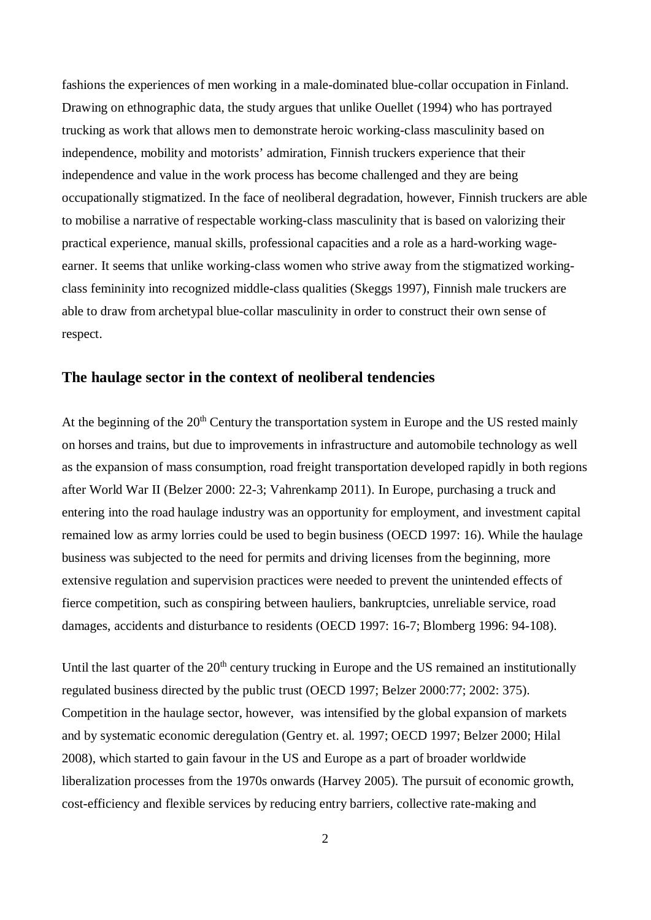fashions the experiences of men working in a male-dominated blue-collar occupation in Finland. Drawing on ethnographic data, the study argues that unlike Ouellet (1994) who has portrayed trucking as work that allows men to demonstrate heroic working-class masculinity based on independence, mobility and motorists' admiration, Finnish truckers experience that their independence and value in the work process has become challenged and they are being occupationally stigmatized. In the face of neoliberal degradation, however, Finnish truckers are able to mobilise a narrative of respectable working-class masculinity that is based on valorizing their practical experience, manual skills, professional capacities and a role as a hard-working wageearner. It seems that unlike working-class women who strive away from the stigmatized workingclass femininity into recognized middle-class qualities (Skeggs 1997), Finnish male truckers are able to draw from archetypal blue-collar masculinity in order to construct their own sense of respect.

## **The haulage sector in the context of neoliberal tendencies**

At the beginning of the 20<sup>th</sup> Century the transportation system in Europe and the US rested mainly on horses and trains, but due to improvements in infrastructure and automobile technology as well as the expansion of mass consumption, road freight transportation developed rapidly in both regions after World War II (Belzer 2000: 22-3; Vahrenkamp 2011). In Europe, purchasing a truck and entering into the road haulage industry was an opportunity for employment, and investment capital remained low as army lorries could be used to begin business (OECD 1997: 16). While the haulage business was subjected to the need for permits and driving licenses from the beginning, more extensive regulation and supervision practices were needed to prevent the unintended effects of fierce competition, such as conspiring between hauliers, bankruptcies, unreliable service, road damages, accidents and disturbance to residents (OECD 1997: 16-7; Blomberg 1996: 94-108).

Until the last quarter of the  $20<sup>th</sup>$  century trucking in Europe and the US remained an institutionally regulated business directed by the public trust (OECD 1997; Belzer 2000:77; 2002: 375). Competition in the haulage sector, however, was intensified by the global expansion of markets and by systematic economic deregulation (Gentry et. al. 1997; OECD 1997; Belzer 2000; Hilal 2008), which started to gain favour in the US and Europe as a part of broader worldwide liberalization processes from the 1970s onwards (Harvey 2005). The pursuit of economic growth, cost-efficiency and flexible services by reducing entry barriers, collective rate-making and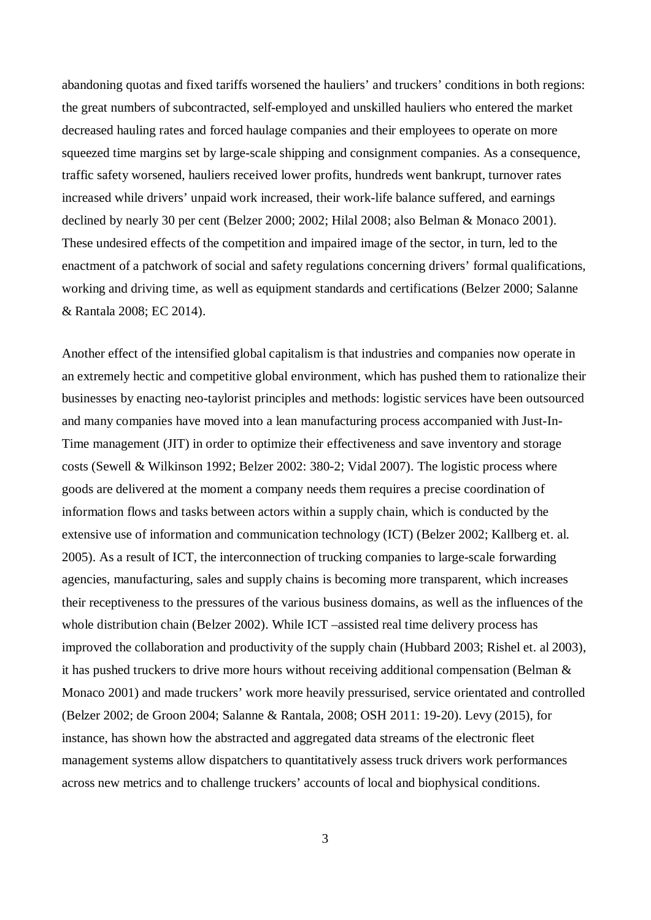abandoning quotas and fixed tariffs worsened the hauliers' and truckers' conditions in both regions: the great numbers of subcontracted, self-employed and unskilled hauliers who entered the market decreased hauling rates and forced haulage companies and their employees to operate on more squeezed time margins set by large-scale shipping and consignment companies. As a consequence, traffic safety worsened, hauliers received lower profits, hundreds went bankrupt, turnover rates increased while drivers' unpaid work increased, their work-life balance suffered, and earnings declined by nearly 30 per cent (Belzer 2000; 2002; Hilal 2008; also Belman & Monaco 2001). These undesired effects of the competition and impaired image of the sector, in turn, led to the enactment of a patchwork of social and safety regulations concerning drivers' formal qualifications, working and driving time, as well as equipment standards and certifications (Belzer 2000; Salanne & Rantala 2008; EC 2014).

Another effect of the intensified global capitalism is that industries and companies now operate in an extremely hectic and competitive global environment, which has pushed them to rationalize their businesses by enacting neo-taylorist principles and methods: logistic services have been outsourced and many companies have moved into a lean manufacturing process accompanied with Just-In-Time management (JIT) in order to optimize their effectiveness and save inventory and storage costs (Sewell & Wilkinson 1992; Belzer 2002: 380-2; Vidal 2007). The logistic process where goods are delivered at the moment a company needs them requires a precise coordination of information flows and tasks between actors within a supply chain, which is conducted by the extensive use of information and communication technology (ICT) (Belzer 2002; Kallberg et. al. 2005). As a result of ICT, the interconnection of trucking companies to large-scale forwarding agencies, manufacturing, sales and supply chains is becoming more transparent, which increases their receptiveness to the pressures of the various business domains, as well as the influences of the whole distribution chain (Belzer 2002). While ICT –assisted real time delivery process has improved the collaboration and productivity of the supply chain (Hubbard 2003; Rishel et. al 2003), it has pushed truckers to drive more hours without receiving additional compensation (Belman & Monaco 2001) and made truckers' work more heavily pressurised, service orientated and controlled (Belzer 2002; de Groon 2004; Salanne & Rantala, 2008; OSH 2011: 19-20). Levy (2015), for instance, has shown how the abstracted and aggregated data streams of the electronic fleet management systems allow dispatchers to quantitatively assess truck drivers work performances across new metrics and to challenge truckers' accounts of local and biophysical conditions.

3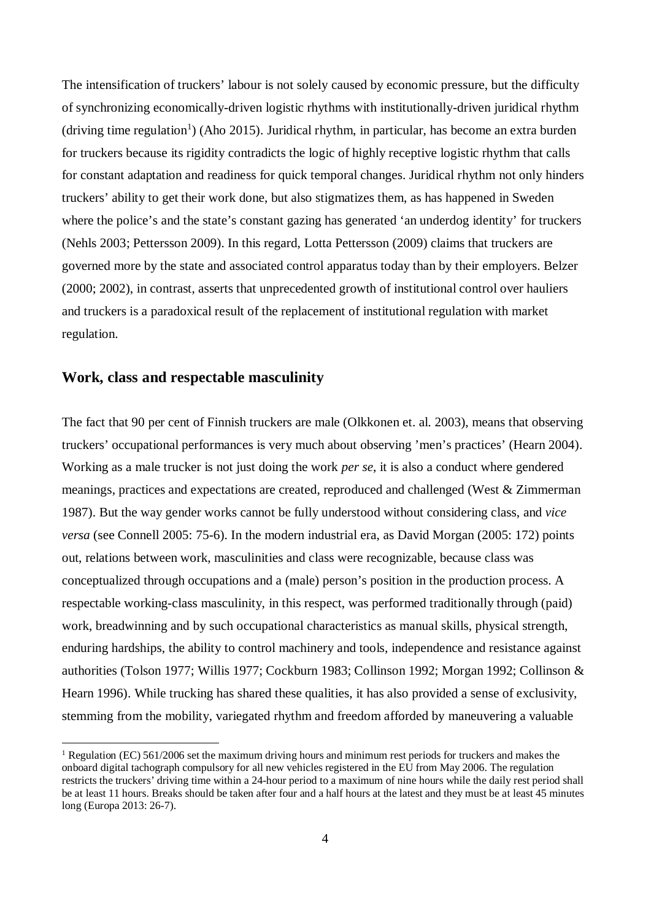The intensification of truckers' labour is not solely caused by economic pressure, but the difficulty of synchronizing economically-driven logistic rhythms with institutionally-driven juridical rhythm (driving time regulation<sup>1</sup>) (Aho 2015). Juridical rhythm, in particular, has become an extra burden for truckers because its rigidity contradicts the logic of highly receptive logistic rhythm that calls for constant adaptation and readiness for quick temporal changes. Juridical rhythm not only hinders truckers' ability to get their work done, but also stigmatizes them, as has happened in Sweden where the police's and the state's constant gazing has generated 'an underdog identity' for truckers (Nehls 2003; Pettersson 2009). In this regard, Lotta Pettersson (2009) claims that truckers are governed more by the state and associated control apparatus today than by their employers. Belzer (2000; 2002), in contrast, asserts that unprecedented growth of institutional control over hauliers and truckers is a paradoxical result of the replacement of institutional regulation with market regulation.

# **Work, class and respectable masculinity**

The fact that 90 per cent of Finnish truckers are male (Olkkonen et. al. 2003), means that observing truckers' occupational performances is very much about observing 'men's practices' (Hearn 2004). Working as a male trucker is not just doing the work *per se*, it is also a conduct where gendered meanings, practices and expectations are created, reproduced and challenged (West & Zimmerman 1987). But the way gender works cannot be fully understood without considering class, and *vice versa* (see Connell 2005: 75-6). In the modern industrial era, as David Morgan (2005: 172) points out, relations between work, masculinities and class were recognizable, because class was conceptualized through occupations and a (male) person's position in the production process. A respectable working-class masculinity, in this respect, was performed traditionally through (paid) work, breadwinning and by such occupational characteristics as manual skills, physical strength, enduring hardships, the ability to control machinery and tools, independence and resistance against authorities (Tolson 1977; Willis 1977; Cockburn 1983; Collinson 1992; Morgan 1992; Collinson & Hearn 1996). While trucking has shared these qualities, it has also provided a sense of exclusivity, stemming from the mobility, variegated rhythm and freedom afforded by maneuvering a valuable

<sup>&</sup>lt;sup>1</sup> Regulation (EC) 561/2006 set the maximum driving hours and minimum rest periods for truckers and makes the onboard digital tachograph compulsory for all new vehicles registered in the EU from May 2006. The regulation restricts the truckers' driving time within a 24-hour period to a maximum of nine hours while the daily rest period shall be at least 11 hours. Breaks should be taken after four and a half hours at the latest and they must be at least 45 minutes long (Europa 2013: 26-7).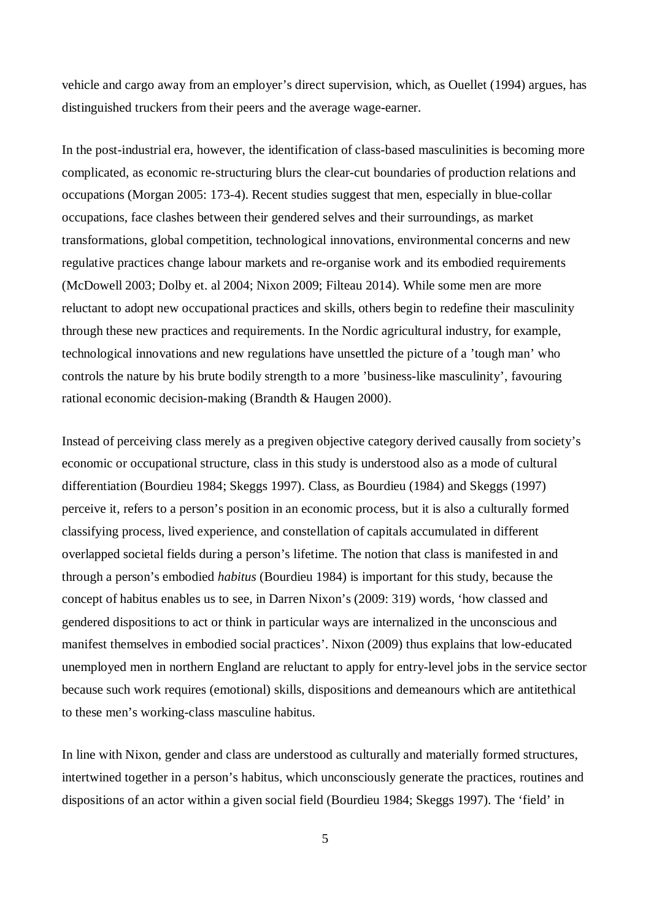vehicle and cargo away from an employer's direct supervision, which, as Ouellet (1994) argues, has distinguished truckers from their peers and the average wage-earner.

In the post-industrial era, however, the identification of class-based masculinities is becoming more complicated, as economic re-structuring blurs the clear-cut boundaries of production relations and occupations (Morgan 2005: 173-4). Recent studies suggest that men, especially in blue-collar occupations, face clashes between their gendered selves and their surroundings, as market transformations, global competition, technological innovations, environmental concerns and new regulative practices change labour markets and re-organise work and its embodied requirements (McDowell 2003; Dolby et. al 2004; Nixon 2009; Filteau 2014). While some men are more reluctant to adopt new occupational practices and skills, others begin to redefine their masculinity through these new practices and requirements. In the Nordic agricultural industry, for example, technological innovations and new regulations have unsettled the picture of a 'tough man' who controls the nature by his brute bodily strength to a more 'business-like masculinity', favouring rational economic decision-making (Brandth & Haugen 2000).

Instead of perceiving class merely as a pregiven objective category derived causally from society's economic or occupational structure, class in this study is understood also as a mode of cultural differentiation (Bourdieu 1984; Skeggs 1997). Class, as Bourdieu (1984) and Skeggs (1997) perceive it, refers to a person's position in an economic process, but it is also a culturally formed classifying process, lived experience, and constellation of capitals accumulated in different overlapped societal fields during a person's lifetime. The notion that class is manifested in and through a person's embodied *habitus* (Bourdieu 1984) is important for this study, because the concept of habitus enables us to see, in Darren Nixon's (2009: 319) words, 'how classed and gendered dispositions to act or think in particular ways are internalized in the unconscious and manifest themselves in embodied social practices'. Nixon (2009) thus explains that low-educated unemployed men in northern England are reluctant to apply for entry-level jobs in the service sector because such work requires (emotional) skills, dispositions and demeanours which are antitethical to these men's working-class masculine habitus.

In line with Nixon, gender and class are understood as culturally and materially formed structures, intertwined together in a person's habitus, which unconsciously generate the practices, routines and dispositions of an actor within a given social field (Bourdieu 1984; Skeggs 1997). The 'field' in

5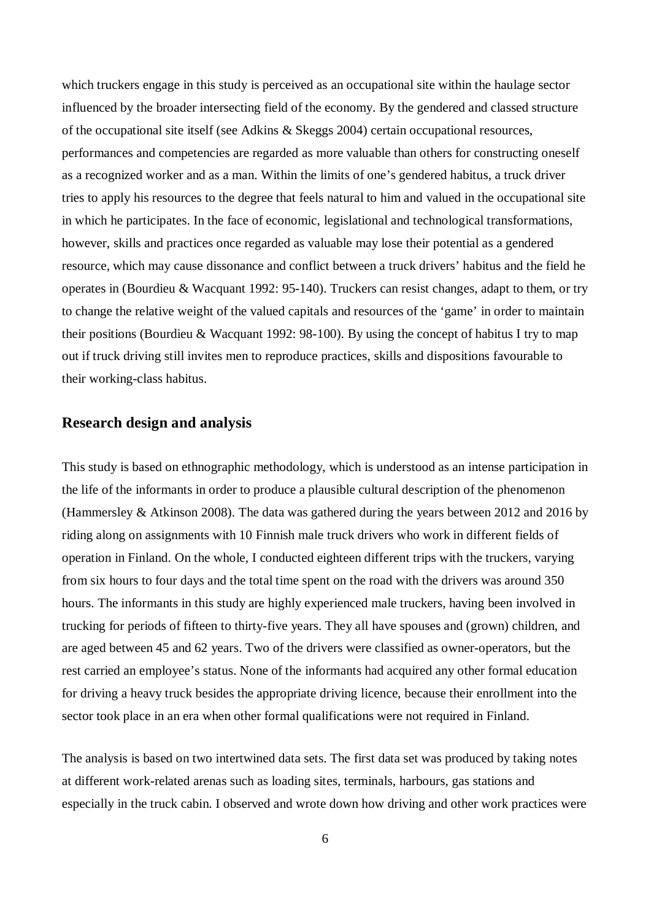which truckers engage in this study is perceived as an occupational site within the haulage sector influenced by the broader intersecting field of the economy. By the gendered and classed structure of the occupational site itself (see Adkins & Skeggs 2004) certain occupational resources, performances and competencies are regarded as more valuable than others for constructing oneself as a recognized worker and as a man. Within the limits of one's gendered habitus, a truck driver tries to apply his resources to the degree that feels natural to him and valued in the occupational site in which he participates. In the face of economic, legislational and technological transformations, however, skills and practices once regarded as valuable may lose their potential as a gendered resource, which may cause dissonance and conflict between a truck drivers' habitus and the field he operates in (Bourdieu & Wacquant 1992: 95-140). Truckers can resist changes, adapt to them, or try to change the relative weight of the valued capitals and resources of the 'game' in order to maintain their positions (Bourdieu & Wacquant 1992: 98-100). By using the concept of habitus I try to map out if truck driving still invites men to reproduce practices, skills and dispositions favourable to their working-class habitus.

#### **Research design and analysis**

This study is based on ethnographic methodology, which is understood as an intense participation in the life of the informants in order to produce a plausible cultural description of the phenomenon (Hammersley & Atkinson 2008). The data was gathered during the years between 2012 and 2016 by riding along on assignments with 10 Finnish male truck drivers who work in different fields of operation in Finland. On the whole, I conducted eighteen different trips with the truckers, varying from six hours to four days and the total time spent on the road with the drivers was around 350 hours. The informants in this study are highly experienced male truckers, having been involved in trucking for periods of fifteen to thirty-five years. They all have spouses and (grown) children, and are aged between 45 and 62 years. Two of the drivers were classified as owner-operators, but the rest carried an employee's status. None of the informants had acquired any other formal education for driving a heavy truck besides the appropriate driving licence, because their enrollment into the sector took place in an era when other formal qualifications were not required in Finland.

The analysis is based on two intertwined data sets. The first data set was produced by taking notes at different work-related arenas such as loading sites, terminals, harbours, gas stations and especially in the truck cabin. I observed and wrote down how driving and other work practices were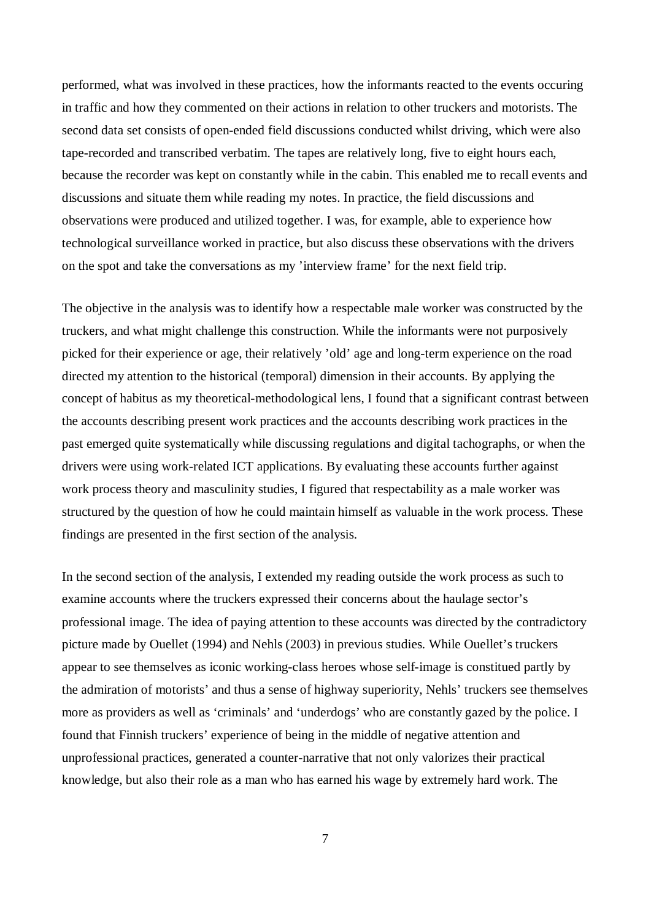performed, what was involved in these practices, how the informants reacted to the events occuring in traffic and how they commented on their actions in relation to other truckers and motorists. The second data set consists of open-ended field discussions conducted whilst driving, which were also tape-recorded and transcribed verbatim. The tapes are relatively long, five to eight hours each, because the recorder was kept on constantly while in the cabin. This enabled me to recall events and discussions and situate them while reading my notes. In practice, the field discussions and observations were produced and utilized together. I was, for example, able to experience how technological surveillance worked in practice, but also discuss these observations with the drivers on the spot and take the conversations as my 'interview frame' for the next field trip.

The objective in the analysis was to identify how a respectable male worker was constructed by the truckers, and what might challenge this construction. While the informants were not purposively picked for their experience or age, their relatively 'old' age and long-term experience on the road directed my attention to the historical (temporal) dimension in their accounts. By applying the concept of habitus as my theoretical-methodological lens, I found that a significant contrast between the accounts describing present work practices and the accounts describing work practices in the past emerged quite systematically while discussing regulations and digital tachographs, or when the drivers were using work-related ICT applications. By evaluating these accounts further against work process theory and masculinity studies, I figured that respectability as a male worker was structured by the question of how he could maintain himself as valuable in the work process. These findings are presented in the first section of the analysis.

In the second section of the analysis, I extended my reading outside the work process as such to examine accounts where the truckers expressed their concerns about the haulage sector's professional image. The idea of paying attention to these accounts was directed by the contradictory picture made by Ouellet (1994) and Nehls (2003) in previous studies. While Ouellet's truckers appear to see themselves as iconic working-class heroes whose self-image is constitued partly by the admiration of motorists' and thus a sense of highway superiority, Nehls' truckers see themselves more as providers as well as 'criminals' and 'underdogs' who are constantly gazed by the police. I found that Finnish truckers' experience of being in the middle of negative attention and unprofessional practices, generated a counter-narrative that not only valorizes their practical knowledge, but also their role as a man who has earned his wage by extremely hard work. The

7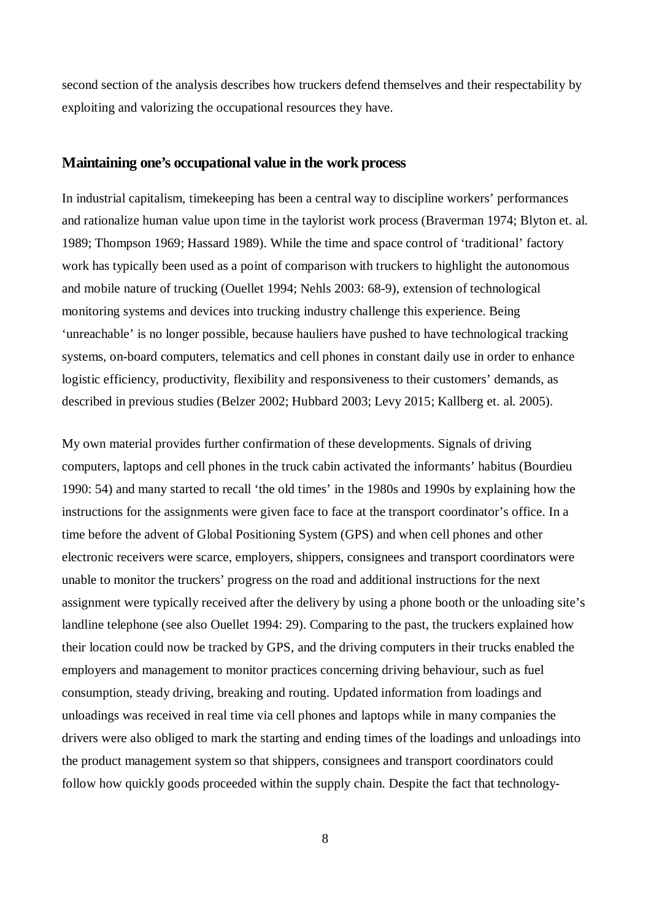second section of the analysis describes how truckers defend themselves and their respectability by exploiting and valorizing the occupational resources they have.

### **Maintaining one's occupational value in the work process**

In industrial capitalism, timekeeping has been a central way to discipline workers' performances and rationalize human value upon time in the taylorist work process (Braverman 1974; Blyton et. al. 1989; Thompson 1969; Hassard 1989). While the time and space control of 'traditional' factory work has typically been used as a point of comparison with truckers to highlight the autonomous and mobile nature of trucking (Ouellet 1994; Nehls 2003: 68-9), extension of technological monitoring systems and devices into trucking industry challenge this experience. Being 'unreachable' is no longer possible, because hauliers have pushed to have technological tracking systems, on-board computers, telematics and cell phones in constant daily use in order to enhance logistic efficiency, productivity, flexibility and responsiveness to their customers' demands, as described in previous studies (Belzer 2002; Hubbard 2003; Levy 2015; Kallberg et. al. 2005).

My own material provides further confirmation of these developments. Signals of driving computers, laptops and cell phones in the truck cabin activated the informants' habitus (Bourdieu 1990: 54) and many started to recall 'the old times' in the 1980s and 1990s by explaining how the instructions for the assignments were given face to face at the transport coordinator's office. In a time before the advent of Global Positioning System (GPS) and when cell phones and other electronic receivers were scarce, employers, shippers, consignees and transport coordinators were unable to monitor the truckers' progress on the road and additional instructions for the next assignment were typically received after the delivery by using a phone booth or the unloading site's landline telephone (see also Ouellet 1994: 29). Comparing to the past, the truckers explained how their location could now be tracked by GPS, and the driving computers in their trucks enabled the employers and management to monitor practices concerning driving behaviour, such as fuel consumption, steady driving, breaking and routing. Updated information from loadings and unloadings was received in real time via cell phones and laptops while in many companies the drivers were also obliged to mark the starting and ending times of the loadings and unloadings into the product management system so that shippers, consignees and transport coordinators could follow how quickly goods proceeded within the supply chain. Despite the fact that technology-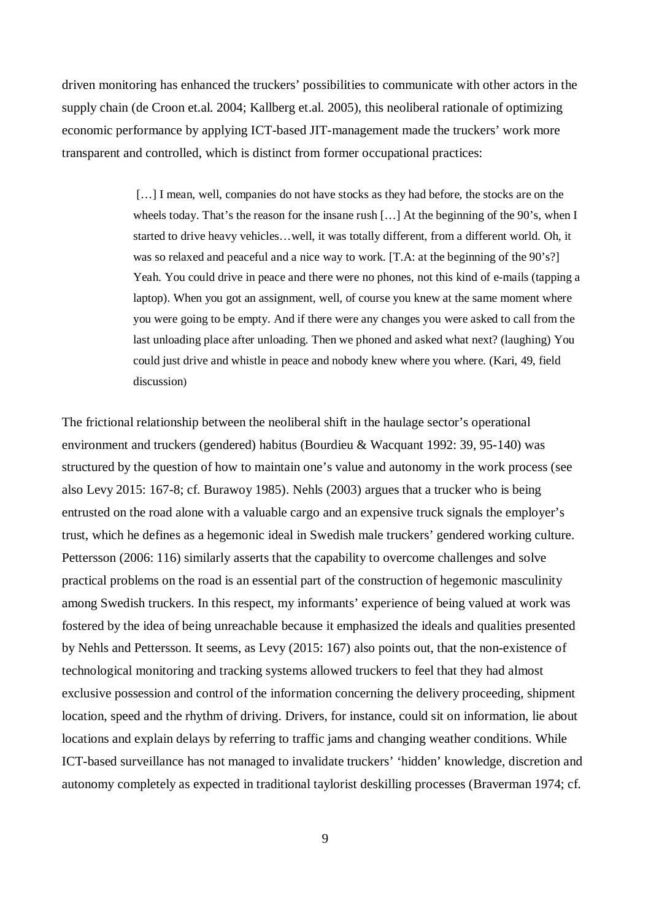driven monitoring has enhanced the truckers' possibilities to communicate with other actors in the supply chain (de Croon et.al. 2004; Kallberg et.al. 2005), this neoliberal rationale of optimizing economic performance by applying ICT-based JIT-management made the truckers' work more transparent and controlled, which is distinct from former occupational practices:

> [...] I mean, well, companies do not have stocks as they had before, the stocks are on the wheels today. That's the reason for the insane rush […] At the beginning of the 90's, when I started to drive heavy vehicles…well, it was totally different, from a different world. Oh, it was so relaxed and peaceful and a nice way to work. [T.A: at the beginning of the 90's?] Yeah. You could drive in peace and there were no phones, not this kind of e-mails (tapping a laptop). When you got an assignment, well, of course you knew at the same moment where you were going to be empty. And if there were any changes you were asked to call from the last unloading place after unloading. Then we phoned and asked what next? (laughing) You could just drive and whistle in peace and nobody knew where you where. (Kari, 49, field discussion)

The frictional relationship between the neoliberal shift in the haulage sector's operational environment and truckers (gendered) habitus (Bourdieu & Wacquant 1992: 39, 95-140) was structured by the question of how to maintain one's value and autonomy in the work process (see also Levy 2015: 167-8; cf. Burawoy 1985). Nehls (2003) argues that a trucker who is being entrusted on the road alone with a valuable cargo and an expensive truck signals the employer's trust, which he defines as a hegemonic ideal in Swedish male truckers' gendered working culture. Pettersson (2006: 116) similarly asserts that the capability to overcome challenges and solve practical problems on the road is an essential part of the construction of hegemonic masculinity among Swedish truckers. In this respect, my informants' experience of being valued at work was fostered by the idea of being unreachable because it emphasized the ideals and qualities presented by Nehls and Pettersson. It seems, as Levy (2015: 167) also points out, that the non-existence of technological monitoring and tracking systems allowed truckers to feel that they had almost exclusive possession and control of the information concerning the delivery proceeding, shipment location, speed and the rhythm of driving. Drivers, for instance, could sit on information, lie about locations and explain delays by referring to traffic jams and changing weather conditions. While ICT-based surveillance has not managed to invalidate truckers' 'hidden' knowledge, discretion and autonomy completely as expected in traditional taylorist deskilling processes (Braverman 1974; cf.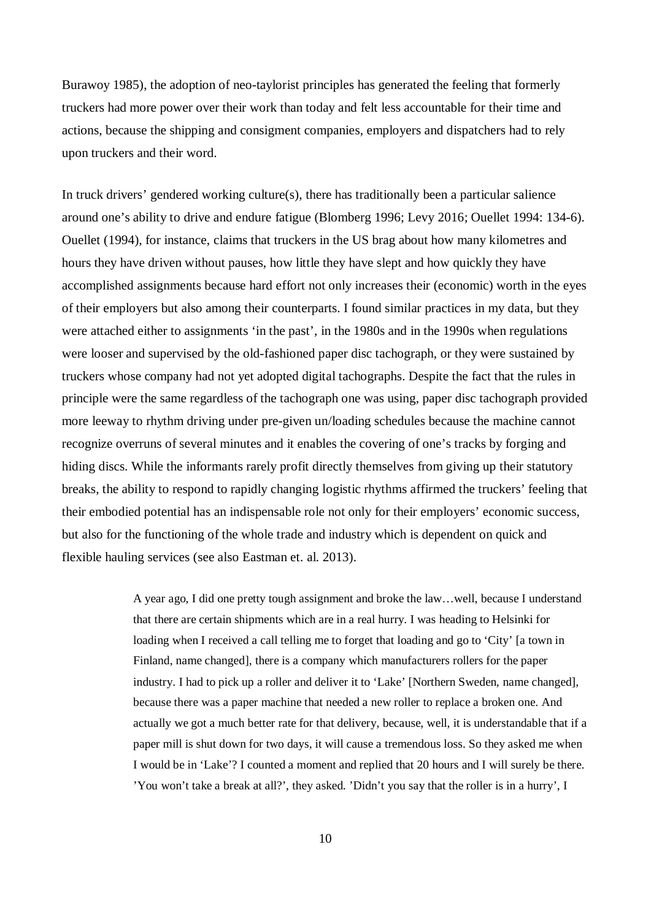Burawoy 1985), the adoption of neo-taylorist principles has generated the feeling that formerly truckers had more power over their work than today and felt less accountable for their time and actions, because the shipping and consigment companies, employers and dispatchers had to rely upon truckers and their word.

In truck drivers' gendered working culture(s), there has traditionally been a particular salience around one's ability to drive and endure fatigue (Blomberg 1996; Levy 2016; Ouellet 1994: 134-6). Ouellet (1994), for instance, claims that truckers in the US brag about how many kilometres and hours they have driven without pauses, how little they have slept and how quickly they have accomplished assignments because hard effort not only increases their (economic) worth in the eyes of their employers but also among their counterparts. I found similar practices in my data, but they were attached either to assignments 'in the past', in the 1980s and in the 1990s when regulations were looser and supervised by the old-fashioned paper disc tachograph, or they were sustained by truckers whose company had not yet adopted digital tachographs. Despite the fact that the rules in principle were the same regardless of the tachograph one was using, paper disc tachograph provided more leeway to rhythm driving under pre-given un/loading schedules because the machine cannot recognize overruns of several minutes and it enables the covering of one's tracks by forging and hiding discs. While the informants rarely profit directly themselves from giving up their statutory breaks, the ability to respond to rapidly changing logistic rhythms affirmed the truckers' feeling that their embodied potential has an indispensable role not only for their employers' economic success, but also for the functioning of the whole trade and industry which is dependent on quick and flexible hauling services (see also Eastman et. al. 2013).

> A year ago, I did one pretty tough assignment and broke the law…well, because I understand that there are certain shipments which are in a real hurry. I was heading to Helsinki for loading when I received a call telling me to forget that loading and go to 'City' [a town in Finland, name changed], there is a company which manufacturers rollers for the paper industry. I had to pick up a roller and deliver it to 'Lake' [Northern Sweden, name changed], because there was a paper machine that needed a new roller to replace a broken one. And actually we got a much better rate for that delivery, because, well, it is understandable that if a paper mill is shut down for two days, it will cause a tremendous loss. So they asked me when I would be in 'Lake'? I counted a moment and replied that 20 hours and I will surely be there. 'You won't take a break at all?', they asked. 'Didn't you say that the roller is in a hurry', I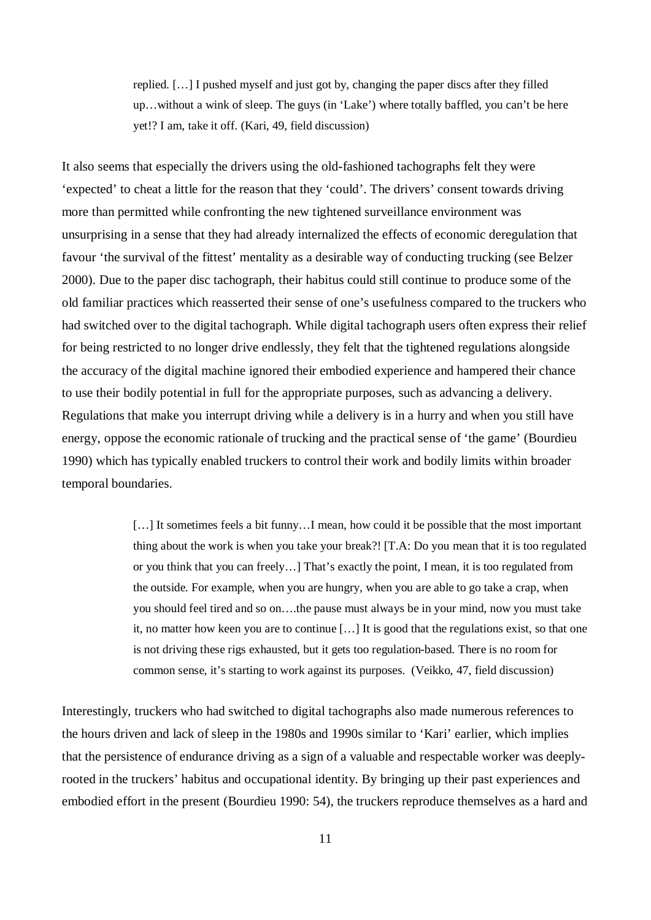replied. […] I pushed myself and just got by, changing the paper discs after they filled up…without a wink of sleep. The guys (in 'Lake') where totally baffled, you can't be here yet!? I am, take it off. (Kari, 49, field discussion)

It also seems that especially the drivers using the old-fashioned tachographs felt they were 'expected' to cheat a little for the reason that they 'could'. The drivers' consent towards driving more than permitted while confronting the new tightened surveillance environment was unsurprising in a sense that they had already internalized the effects of economic deregulation that favour 'the survival of the fittest' mentality as a desirable way of conducting trucking (see Belzer 2000). Due to the paper disc tachograph, their habitus could still continue to produce some of the old familiar practices which reasserted their sense of one's usefulness compared to the truckers who had switched over to the digital tachograph. While digital tachograph users often express their relief for being restricted to no longer drive endlessly, they felt that the tightened regulations alongside the accuracy of the digital machine ignored their embodied experience and hampered their chance to use their bodily potential in full for the appropriate purposes, such as advancing a delivery. Regulations that make you interrupt driving while a delivery is in a hurry and when you still have energy, oppose the economic rationale of trucking and the practical sense of 'the game' (Bourdieu 1990) which has typically enabled truckers to control their work and bodily limits within broader temporal boundaries.

> [...] It sometimes feels a bit funny...I mean, how could it be possible that the most important thing about the work is when you take your break?! [T.A: Do you mean that it is too regulated or you think that you can freely…] That's exactly the point, I mean, it is too regulated from the outside. For example, when you are hungry, when you are able to go take a crap, when you should feel tired and so on….the pause must always be in your mind, now you must take it, no matter how keen you are to continue […] It is good that the regulations exist, so that one is not driving these rigs exhausted, but it gets too regulation-based. There is no room for common sense, it's starting to work against its purposes. (Veikko, 47, field discussion)

Interestingly, truckers who had switched to digital tachographs also made numerous references to the hours driven and lack of sleep in the 1980s and 1990s similar to 'Kari' earlier, which implies that the persistence of endurance driving as a sign of a valuable and respectable worker was deeplyrooted in the truckers' habitus and occupational identity. By bringing up their past experiences and embodied effort in the present (Bourdieu 1990: 54), the truckers reproduce themselves as a hard and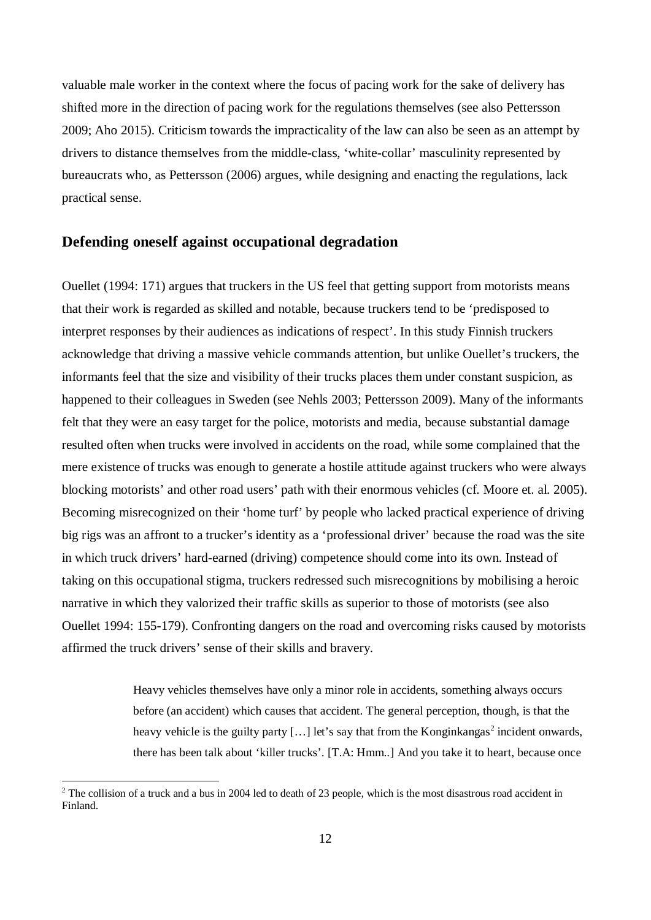valuable male worker in the context where the focus of pacing work for the sake of delivery has shifted more in the direction of pacing work for the regulations themselves (see also Pettersson 2009; Aho 2015). Criticism towards the impracticality of the law can also be seen as an attempt by drivers to distance themselves from the middle-class, 'white-collar' masculinity represented by bureaucrats who, as Pettersson (2006) argues, while designing and enacting the regulations, lack practical sense.

#### **Defending oneself against occupational degradation**

Ouellet (1994: 171) argues that truckers in the US feel that getting support from motorists means that their work is regarded as skilled and notable, because truckers tend to be 'predisposed to interpret responses by their audiences as indications of respect'. In this study Finnish truckers acknowledge that driving a massive vehicle commands attention, but unlike Ouellet's truckers, the informants feel that the size and visibility of their trucks places them under constant suspicion, as happened to their colleagues in Sweden (see Nehls 2003; Pettersson 2009). Many of the informants felt that they were an easy target for the police, motorists and media, because substantial damage resulted often when trucks were involved in accidents on the road, while some complained that the mere existence of trucks was enough to generate a hostile attitude against truckers who were always blocking motorists' and other road users' path with their enormous vehicles (cf. Moore et. al. 2005). Becoming misrecognized on their 'home turf' by people who lacked practical experience of driving big rigs was an affront to a trucker's identity as a 'professional driver' because the road was the site in which truck drivers' hard-earned (driving) competence should come into its own. Instead of taking on this occupational stigma, truckers redressed such misrecognitions by mobilising a heroic narrative in which they valorized their traffic skills as superior to those of motorists (see also Ouellet 1994: 155-179). Confronting dangers on the road and overcoming risks caused by motorists affirmed the truck drivers' sense of their skills and bravery.

> Heavy vehicles themselves have only a minor role in accidents, something always occurs before (an accident) which causes that accident. The general perception, though, is that the heavy vehicle is the guilty party [...] let's say that from the Konginkangas<sup>2</sup> incident onwards, there has been talk about 'killer trucks'. [T.A: Hmm..] And you take it to heart, because once

 $2$  The collision of a truck and a bus in 2004 led to death of 23 people, which is the most disastrous road accident in Finland.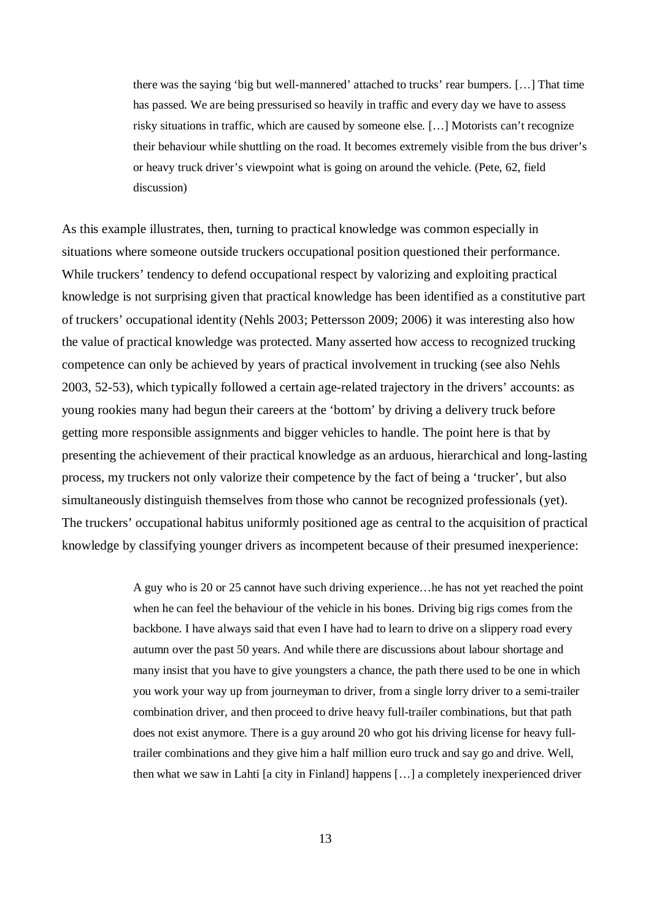there was the saying 'big but well-mannered' attached to trucks' rear bumpers. […] That time has passed. We are being pressurised so heavily in traffic and every day we have to assess risky situations in traffic, which are caused by someone else. […] Motorists can't recognize their behaviour while shuttling on the road. It becomes extremely visible from the bus driver's or heavy truck driver's viewpoint what is going on around the vehicle. (Pete, 62, field discussion)

As this example illustrates, then, turning to practical knowledge was common especially in situations where someone outside truckers occupational position questioned their performance. While truckers' tendency to defend occupational respect by valorizing and exploiting practical knowledge is not surprising given that practical knowledge has been identified as a constitutive part of truckers' occupational identity (Nehls 2003; Pettersson 2009; 2006) it was interesting also how the value of practical knowledge was protected. Many asserted how access to recognized trucking competence can only be achieved by years of practical involvement in trucking (see also Nehls 2003, 52-53), which typically followed a certain age-related trajectory in the drivers' accounts: as young rookies many had begun their careers at the 'bottom' by driving a delivery truck before getting more responsible assignments and bigger vehicles to handle. The point here is that by presenting the achievement of their practical knowledge as an arduous, hierarchical and long-lasting process, my truckers not only valorize their competence by the fact of being a 'trucker', but also simultaneously distinguish themselves from those who cannot be recognized professionals (yet). The truckers' occupational habitus uniformly positioned age as central to the acquisition of practical knowledge by classifying younger drivers as incompetent because of their presumed inexperience:

> A guy who is 20 or 25 cannot have such driving experience…he has not yet reached the point when he can feel the behaviour of the vehicle in his bones. Driving big rigs comes from the backbone. I have always said that even I have had to learn to drive on a slippery road every autumn over the past 50 years. And while there are discussions about labour shortage and many insist that you have to give youngsters a chance, the path there used to be one in which you work your way up from journeyman to driver, from a single lorry driver to a semi-trailer combination driver, and then proceed to drive heavy full-trailer combinations, but that path does not exist anymore. There is a guy around 20 who got his driving license for heavy fulltrailer combinations and they give him a half million euro truck and say go and drive. Well, then what we saw in Lahti [a city in Finland] happens […] a completely inexperienced driver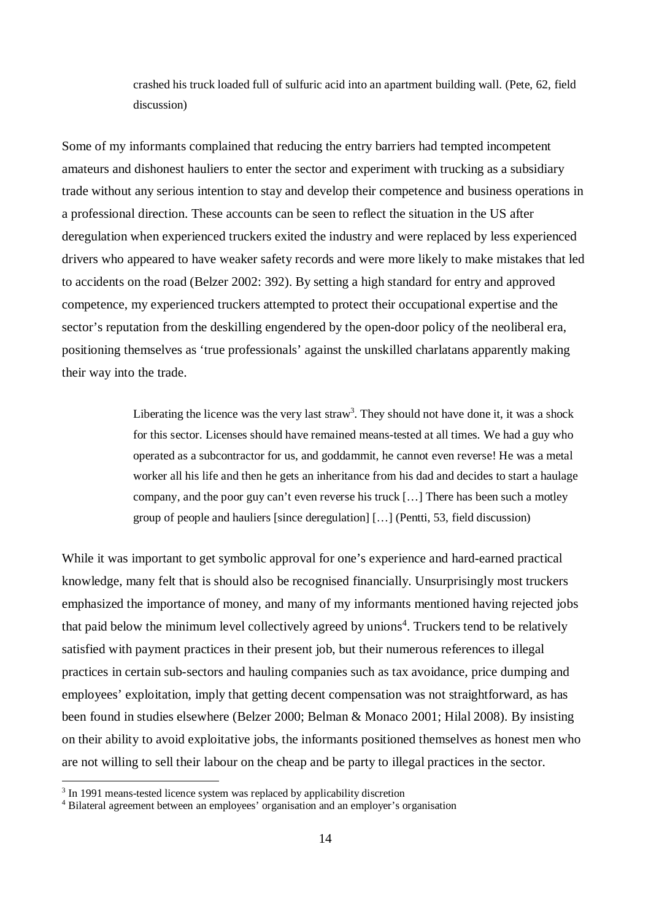crashed his truck loaded full of sulfuric acid into an apartment building wall. (Pete, 62, field discussion)

Some of my informants complained that reducing the entry barriers had tempted incompetent amateurs and dishonest hauliers to enter the sector and experiment with trucking as a subsidiary trade without any serious intention to stay and develop their competence and business operations in a professional direction. These accounts can be seen to reflect the situation in the US after deregulation when experienced truckers exited the industry and were replaced by less experienced drivers who appeared to have weaker safety records and were more likely to make mistakes that led to accidents on the road (Belzer 2002: 392). By setting a high standard for entry and approved competence, my experienced truckers attempted to protect their occupational expertise and the sector's reputation from the deskilling engendered by the open-door policy of the neoliberal era, positioning themselves as 'true professionals' against the unskilled charlatans apparently making their way into the trade.

> Liberating the licence was the very last straw<sup>3</sup>. They should not have done it, it was a shock for this sector. Licenses should have remained means-tested at all times. We had a guy who operated as a subcontractor for us, and goddammit, he cannot even reverse! He was a metal worker all his life and then he gets an inheritance from his dad and decides to start a haulage company, and the poor guy can't even reverse his truck […] There has been such a motley group of people and hauliers [since deregulation] […] (Pentti, 53, field discussion)

While it was important to get symbolic approval for one's experience and hard-earned practical knowledge, many felt that is should also be recognised financially. Unsurprisingly most truckers emphasized the importance of money, and many of my informants mentioned having rejected jobs that paid below the minimum level collectively agreed by unions<sup>4</sup>. Truckers tend to be relatively satisfied with payment practices in their present job, but their numerous references to illegal practices in certain sub-sectors and hauling companies such as tax avoidance, price dumping and employees' exploitation, imply that getting decent compensation was not straightforward, as has been found in studies elsewhere (Belzer 2000; Belman & Monaco 2001; Hilal 2008). By insisting on their ability to avoid exploitative jobs, the informants positioned themselves as honest men who are not willing to sell their labour on the cheap and be party to illegal practices in the sector.

<sup>&</sup>lt;sup>3</sup> In 1991 means-tested licence system was replaced by applicability discretion

<sup>4</sup> Bilateral agreement between an employees' organisation and an employer's organisation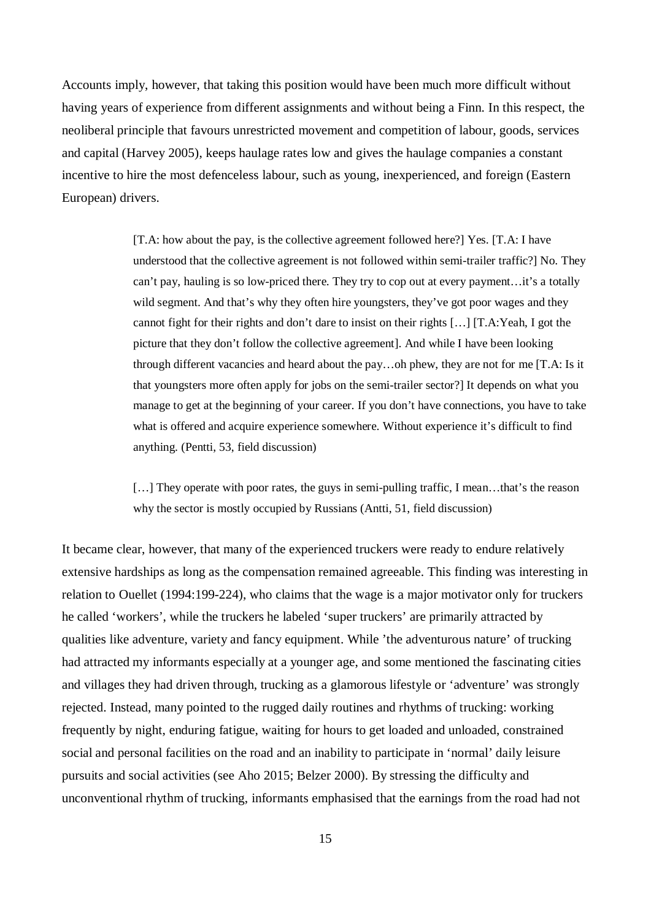Accounts imply, however, that taking this position would have been much more difficult without having years of experience from different assignments and without being a Finn. In this respect, the neoliberal principle that favours unrestricted movement and competition of labour, goods, services and capital (Harvey 2005), keeps haulage rates low and gives the haulage companies a constant incentive to hire the most defenceless labour, such as young, inexperienced, and foreign (Eastern European) drivers.

> [T.A: how about the pay, is the collective agreement followed here?] Yes. [T.A: I have understood that the collective agreement is not followed within semi-trailer traffic?] No. They can't pay, hauling is so low-priced there. They try to cop out at every payment…it's a totally wild segment. And that's why they often hire youngsters, they've got poor wages and they cannot fight for their rights and don't dare to insist on their rights […] [T.A:Yeah, I got the picture that they don't follow the collective agreement]. And while I have been looking through different vacancies and heard about the pay…oh phew, they are not for me [T.A: Is it that youngsters more often apply for jobs on the semi-trailer sector?] It depends on what you manage to get at the beginning of your career. If you don't have connections, you have to take what is offered and acquire experience somewhere. Without experience it's difficult to find anything. (Pentti, 53, field discussion)

[...] They operate with poor rates, the guys in semi-pulling traffic, I mean...that's the reason why the sector is mostly occupied by Russians (Antti, 51, field discussion)

It became clear, however, that many of the experienced truckers were ready to endure relatively extensive hardships as long as the compensation remained agreeable. This finding was interesting in relation to Ouellet (1994:199-224), who claims that the wage is a major motivator only for truckers he called 'workers', while the truckers he labeled 'super truckers' are primarily attracted by qualities like adventure, variety and fancy equipment. While 'the adventurous nature' of trucking had attracted my informants especially at a younger age, and some mentioned the fascinating cities and villages they had driven through, trucking as a glamorous lifestyle or 'adventure' was strongly rejected. Instead, many pointed to the rugged daily routines and rhythms of trucking: working frequently by night, enduring fatigue, waiting for hours to get loaded and unloaded, constrained social and personal facilities on the road and an inability to participate in 'normal' daily leisure pursuits and social activities (see Aho 2015; Belzer 2000). By stressing the difficulty and unconventional rhythm of trucking, informants emphasised that the earnings from the road had not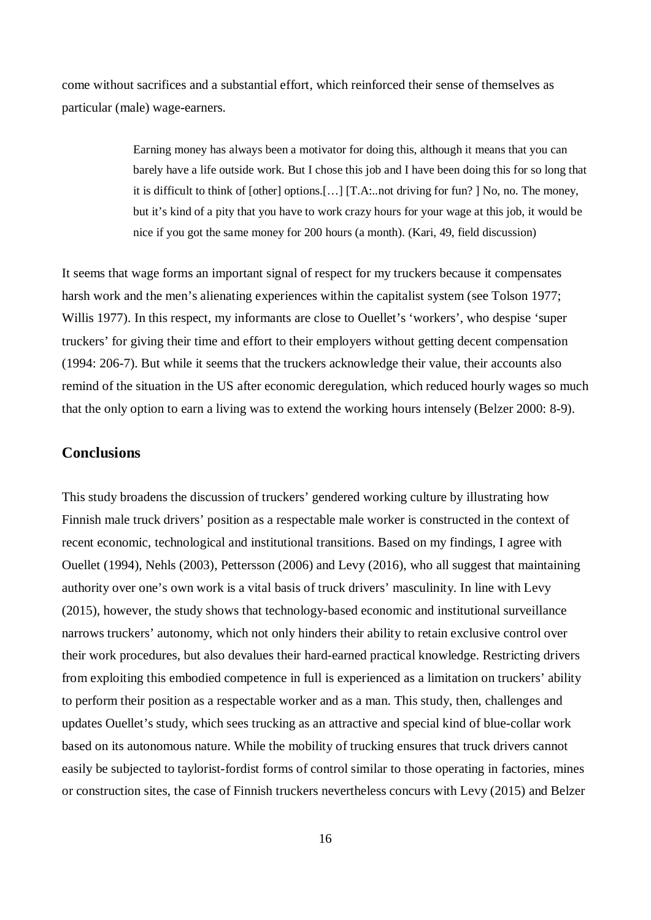come without sacrifices and a substantial effort, which reinforced their sense of themselves as particular (male) wage-earners.

> Earning money has always been a motivator for doing this, although it means that you can barely have a life outside work. But I chose this job and I have been doing this for so long that it is difficult to think of [other] options.[…] [T.A:..not driving for fun? ] No, no. The money, but it's kind of a pity that you have to work crazy hours for your wage at this job, it would be nice if you got the same money for 200 hours (a month). (Kari, 49, field discussion)

It seems that wage forms an important signal of respect for my truckers because it compensates harsh work and the men's alienating experiences within the capitalist system (see Tolson 1977; Willis 1977). In this respect, my informants are close to Ouellet's 'workers', who despise 'super truckers' for giving their time and effort to their employers without getting decent compensation (1994: 206-7). But while it seems that the truckers acknowledge their value, their accounts also remind of the situation in the US after economic deregulation, which reduced hourly wages so much that the only option to earn a living was to extend the working hours intensely (Belzer 2000: 8-9).

# **Conclusions**

This study broadens the discussion of truckers' gendered working culture by illustrating how Finnish male truck drivers' position as a respectable male worker is constructed in the context of recent economic, technological and institutional transitions. Based on my findings, I agree with Ouellet (1994), Nehls (2003), Pettersson (2006) and Levy (2016), who all suggest that maintaining authority over one's own work is a vital basis of truck drivers' masculinity. In line with Levy (2015), however, the study shows that technology-based economic and institutional surveillance narrows truckers' autonomy, which not only hinders their ability to retain exclusive control over their work procedures, but also devalues their hard-earned practical knowledge. Restricting drivers from exploiting this embodied competence in full is experienced as a limitation on truckers' ability to perform their position as a respectable worker and as a man. This study, then, challenges and updates Ouellet's study, which sees trucking as an attractive and special kind of blue-collar work based on its autonomous nature. While the mobility of trucking ensures that truck drivers cannot easily be subjected to taylorist-fordist forms of control similar to those operating in factories, mines or construction sites, the case of Finnish truckers nevertheless concurs with Levy (2015) and Belzer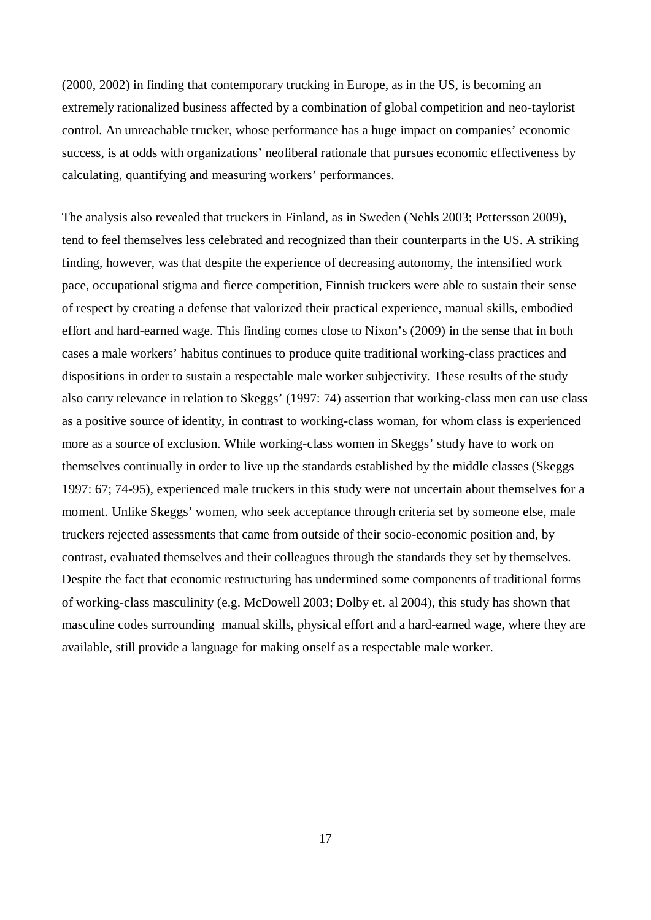(2000, 2002) in finding that contemporary trucking in Europe, as in the US, is becoming an extremely rationalized business affected by a combination of global competition and neo-taylorist control. An unreachable trucker, whose performance has a huge impact on companies' economic success, is at odds with organizations' neoliberal rationale that pursues economic effectiveness by calculating, quantifying and measuring workers' performances.

The analysis also revealed that truckers in Finland, as in Sweden (Nehls 2003; Pettersson 2009), tend to feel themselves less celebrated and recognized than their counterparts in the US. A striking finding, however, was that despite the experience of decreasing autonomy, the intensified work pace, occupational stigma and fierce competition, Finnish truckers were able to sustain their sense of respect by creating a defense that valorized their practical experience, manual skills, embodied effort and hard-earned wage. This finding comes close to Nixon's (2009) in the sense that in both cases a male workers' habitus continues to produce quite traditional working-class practices and dispositions in order to sustain a respectable male worker subjectivity. These results of the study also carry relevance in relation to Skeggs' (1997: 74) assertion that working-class men can use class as a positive source of identity, in contrast to working-class woman, for whom class is experienced more as a source of exclusion. While working-class women in Skeggs' study have to work on themselves continually in order to live up the standards established by the middle classes (Skeggs 1997: 67; 74-95), experienced male truckers in this study were not uncertain about themselves for a moment. Unlike Skeggs' women, who seek acceptance through criteria set by someone else, male truckers rejected assessments that came from outside of their socio-economic position and, by contrast, evaluated themselves and their colleagues through the standards they set by themselves. Despite the fact that economic restructuring has undermined some components of traditional forms of working-class masculinity (e.g. McDowell 2003; Dolby et. al 2004), this study has shown that masculine codes surrounding manual skills, physical effort and a hard-earned wage, where they are available, still provide a language for making onself as a respectable male worker.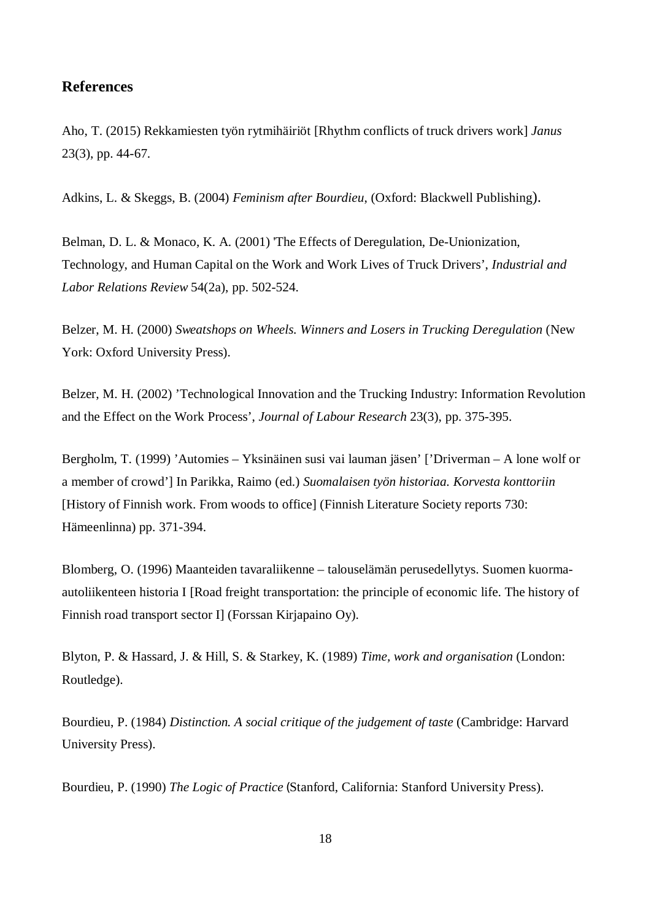### **References**

Aho, T. (2015) Rekkamiesten työn rytmihäiriöt [Rhythm conflicts of truck drivers work] *Janus* 23(3), pp. 44-67.

Adkins, L. & Skeggs, B. (2004) *Feminism after Bourdieu*, (Oxford: Blackwell Publishing).

Belman, D. L. & Monaco, K. A. (2001) 'The Effects of Deregulation, De-Unionization, Technology, and Human Capital on the Work and Work Lives of Truck Drivers', *Industrial and Labor Relations Review* 54(2a), pp. 502-524.

Belzer, M. H. (2000) *Sweatshops on Wheels. Winners and Losers in Trucking Deregulation* (New York: Oxford University Press).

Belzer, M. H. (2002) 'Technological Innovation and the Trucking Industry: Information Revolution and the Effect on the Work Process', *Journal of Labour Research* 23(3), pp. 375-395.

Bergholm, T. (1999) 'Automies – Yksinäinen susi vai lauman jäsen' ['Driverman – A lone wolf or a member of crowd'] In Parikka, Raimo (ed.) *Suomalaisen työn historiaa. Korvesta konttoriin* [History of Finnish work. From woods to office] (Finnish Literature Society reports 730: Hämeenlinna) pp. 371-394.

Blomberg, O. (1996) Maanteiden tavaraliikenne – talouselämän perusedellytys. Suomen kuormaautoliikenteen historia I [Road freight transportation: the principle of economic life. The history of Finnish road transport sector I] (Forssan Kirjapaino Oy).

Blyton, P. & Hassard, J. & Hill, S. & Starkey, K. (1989) *Time, work and organisation* (London: Routledge).

Bourdieu, P. (1984) *Distinction. A social critique of the judgement of taste* (Cambridge: Harvard University Press).

Bourdieu, P. (1990) *The Logic of Practice* (Stanford, California: Stanford University Press).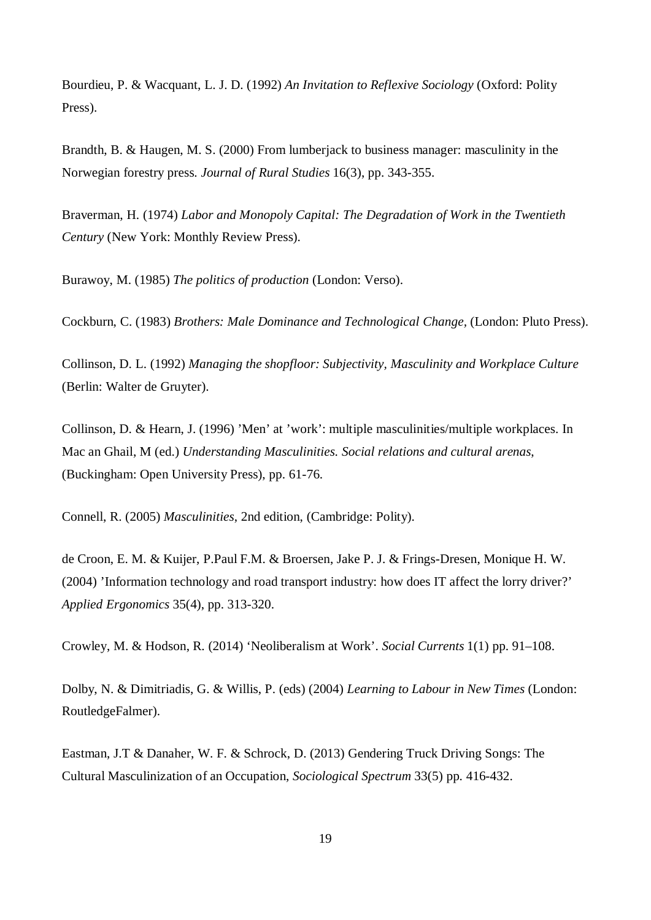Bourdieu, P. & Wacquant, L. J. D. (1992) *An Invitation to Reflexive Sociology* (Oxford: Polity Press).

Brandth, B. & Haugen, M. S. (2000) From lumberjack to business manager: masculinity in the Norwegian forestry press. *Journal of Rural Studies* 16(3), pp. 343-355.

Braverman, H. (1974) *Labor and Monopoly Capital: The Degradation of Work in the Twentieth Century* (New York: Monthly Review Press).

Burawoy, M. (1985) *The politics of production* (London: Verso).

Cockburn, C. (1983) *Brothers: Male Dominance and Technological Change,* (London: Pluto Press).

Collinson, D. L. (1992) *Managing the shopfloor: Subjectivity, Masculinity and Workplace Culture* (Berlin: Walter de Gruyter).

Collinson, D. & Hearn, J. (1996) 'Men' at 'work': multiple masculinities/multiple workplaces. In Mac an Ghail, M (ed.) *Understanding Masculinities. Social relations and cultural arenas*, (Buckingham: Open University Press), pp. 61-76.

Connell, R. (2005) *Masculinities*, 2nd edition, (Cambridge: Polity).

de Croon, E. M. & Kuijer, P.Paul F.M. & Broersen, Jake P. J. & Frings-Dresen, Monique H. W. (2004) 'Information technology and road transport industry: how does IT affect the lorry driver?' *Applied Ergonomics* 35(4), pp. 313-320.

Crowley, M. & Hodson, R. (2014) 'Neoliberalism at Work'. *Social Currents* 1(1) pp. 91–108.

Dolby, N. & Dimitriadis, G. & Willis, P. (eds) (2004) *Learning to Labour in New Times* (London: RoutledgeFalmer).

Eastman, J.T & Danaher, W. F. & Schrock, D. (2013) Gendering Truck Driving Songs: The Cultural Masculinization of an Occupation, *Sociological Spectrum* 33(5) pp. 416-432.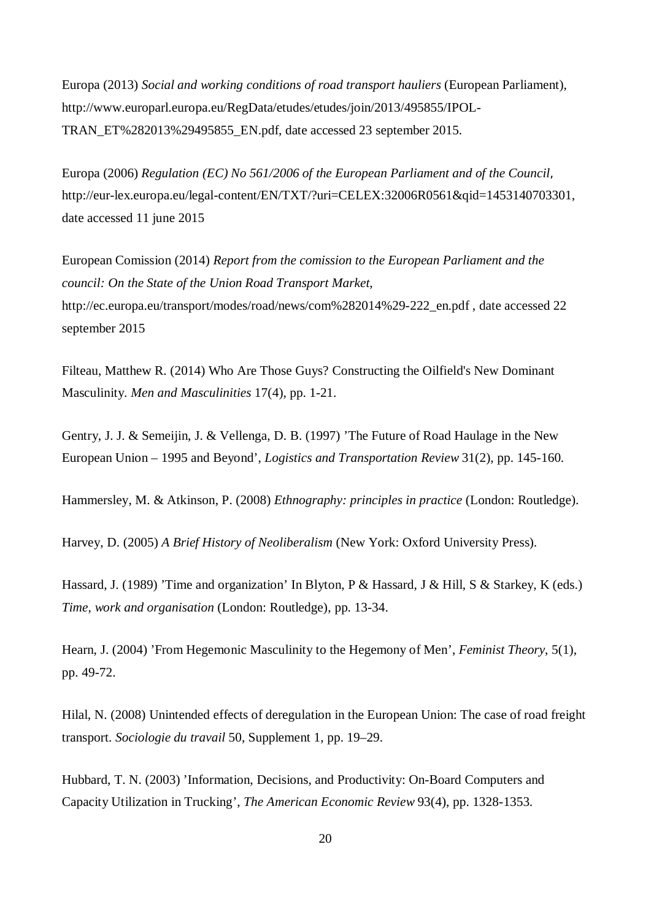Europa (2013) *Social and working conditions of road transport hauliers* (European Parliament), http://www.europarl.europa.eu/RegData/etudes/etudes/join/2013/495855/IPOL-TRAN\_ET%282013%29495855\_EN.pdf, date accessed 23 september 2015.

Europa (2006) *Regulation (EC) No 561/2006 of the European Parliament and of the Council*, http://eur-lex.europa.eu/legal-content/EN/TXT/?uri=CELEX:32006R0561&qid=1453140703301, date accessed 11 june 2015

European Comission (2014) *Report from the comission to the European Parliament and the council: On the State of the Union Road Transport Market*, http://ec.europa.eu/transport/modes/road/news/com%282014%29-222\_en.pdf , date accessed 22 september 2015

Filteau, Matthew R. (2014) Who Are Those Guys? Constructing the Oilfield's New Dominant Masculinity. *Men and Masculinities* 17(4), pp. 1-21.

Gentry, J. J. & Semeijin, J. & Vellenga, D. B. (1997) 'The Future of Road Haulage in the New European Union – 1995 and Beyond', *Logistics and Transportation Review* 31(2), pp. 145-160.

Hammersley, M. & Atkinson, P. (2008) *Ethnography: principles in practice* (London: Routledge).

Harvey, D. (2005) *A Brief History of Neoliberalism* (New York: Oxford University Press).

Hassard, J. (1989) 'Time and organization' In Blyton, P & Hassard, J & Hill, S & Starkey, K (eds.) *Time, work and organisation* (London: Routledge), pp. 13-34.

Hearn, J. (2004) 'From Hegemonic Masculinity to the Hegemony of Men', *Feminist Theory*, 5(1), pp. 49-72.

Hilal, N. (2008) Unintended effects of deregulation in the European Union: The case of road freight transport. *Sociologie du travail* 50, Supplement 1, pp. 19–29.

Hubbard, T. N. (2003) 'Information, Decisions, and Productivity: On-Board Computers and Capacity Utilization in Trucking', *The American Economic Review* 93(4), pp. 1328-1353.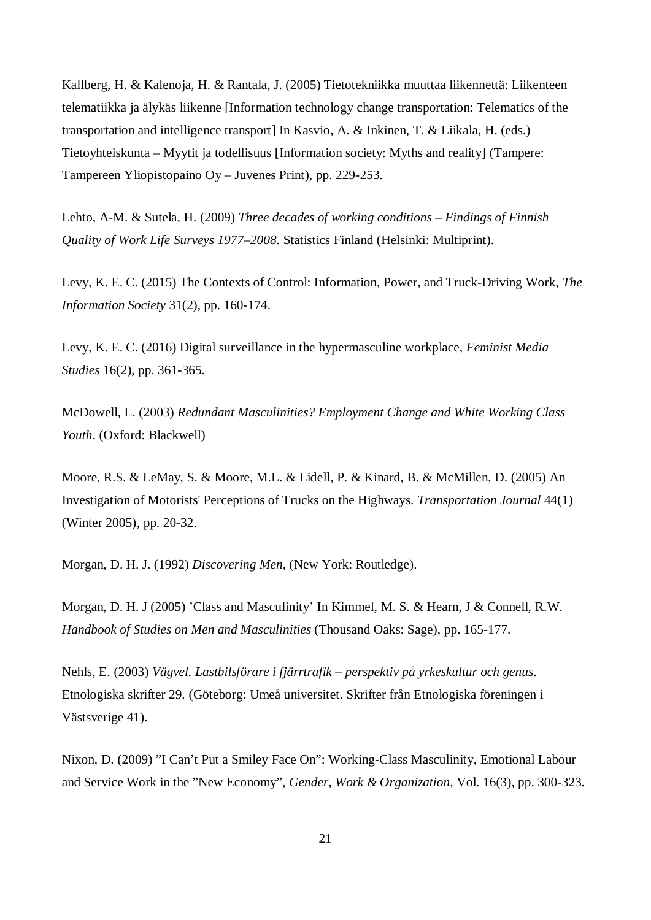Kallberg, H. & Kalenoja, H. & Rantala, J. (2005) Tietotekniikka muuttaa liikennettä: Liikenteen telematiikka ja älykäs liikenne [Information technology change transportation: Telematics of the transportation and intelligence transport] In Kasvio, A. & Inkinen, T. & Liikala, H. (eds.) Tietoyhteiskunta – Myytit ja todellisuus [Information society: Myths and reality] (Tampere: Tampereen Yliopistopaino Oy – Juvenes Print), pp. 229-253.

Lehto, A-M. & Sutela, H. (2009) *Three decades of working conditions – Findings of Finnish Quality of Work Life Surveys 1977–2008*. Statistics Finland (Helsinki: Multiprint).

Levy, K. E. C. (2015) The Contexts of Control: Information, Power, and Truck-Driving Work, *The Information Society* 31(2), pp. 160-174.

Levy, K. E. C. (2016) Digital surveillance in the hypermasculine workplace, *Feminist Media Studies* 16(2), pp. 361-365.

McDowell, L. (2003) *Redundant Masculinities? Employment Change and White Working Class Youth*. (Oxford: Blackwell)

Moore, R.S. & LeMay, S. & Moore, M.L. & Lidell, P. & Kinard, B. & McMillen, D. (2005) An Investigation of Motorists' Perceptions of Trucks on the Highways. *Transportation Journal* 44(1) (Winter 2005), pp. 20-32.

Morgan, D. H. J. (1992) *Discovering Men*, (New York: Routledge).

Morgan, D. H. J (2005) 'Class and Masculinity' In Kimmel, M. S. & Hearn, J & Connell, R.W. *Handbook of Studies on Men and Masculinities* (Thousand Oaks: Sage), pp. 165-177.

Nehls, E. (2003) *Vägvel. Lastbilsförare i fjärrtrafik – perspektiv på yrkeskultur och genus*. Etnologiska skrifter 29. (Göteborg: Umeå universitet. Skrifter från Etnologiska föreningen i Västsverige 41).

Nixon, D. (2009) "I Can't Put a Smiley Face On": Working-Class Masculinity, Emotional Labour and Service Work in the "New Economy", *Gender, Work & Organization*, Vol. 16(3), pp. 300-323.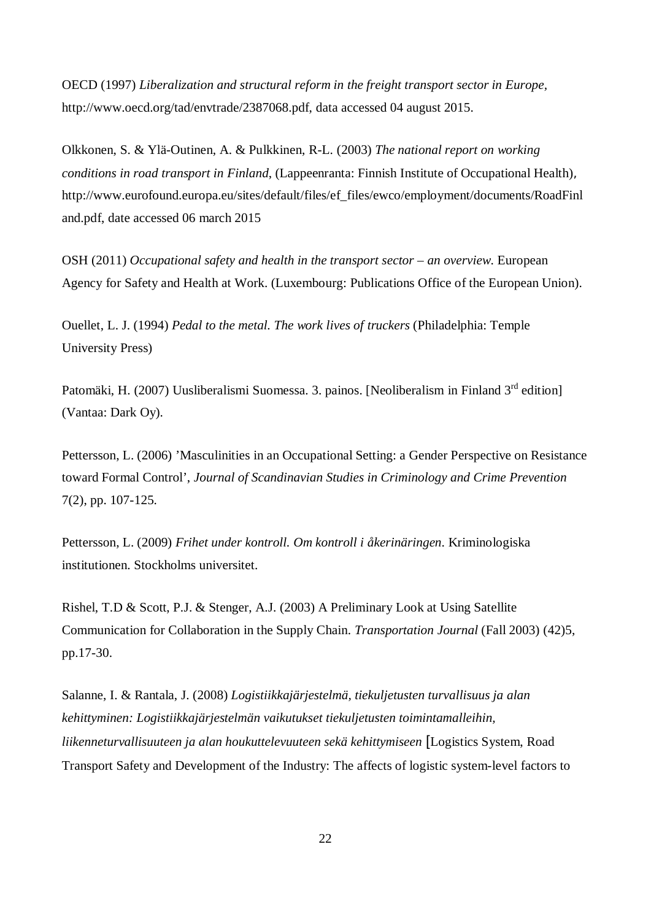OECD (1997) *Liberalization and structural reform in the freight transport sector in Europe,* http://www.oecd.org/tad/envtrade/2387068.pdf, data accessed 04 august 2015.

Olkkonen, S. & Ylä-Outinen, A. & Pulkkinen, R-L. (2003) *The national report on working conditions in road transport in Finland*, (Lappeenranta: Finnish Institute of Occupational Health), http://www.eurofound.europa.eu/sites/default/files/ef\_files/ewco/employment/documents/RoadFinl and.pdf, date accessed 06 march 2015

OSH (2011) *Occupational safety and health in the transport sector – an overview*. European Agency for Safety and Health at Work. (Luxembourg: Publications Office of the European Union).

Ouellet, L. J. (1994) *Pedal to the metal. The work lives of truckers* (Philadelphia: Temple University Press)

Patomäki, H. (2007) Uusliberalismi Suomessa. 3. painos. [Neoliberalism in Finland 3<sup>rd</sup> edition] (Vantaa: Dark Oy).

Pettersson, L. (2006) 'Masculinities in an Occupational Setting: a Gender Perspective on Resistance toward Formal Control', *Journal of Scandinavian Studies in Criminology and Crime Prevention* 7(2), pp. 107-125.

Pettersson, L. (2009) *Frihet under kontroll. Om kontroll i åkerinäringen*. Kriminologiska institutionen. Stockholms universitet.

Rishel, T.D & Scott, P.J. & Stenger, A.J. (2003) A Preliminary Look at Using Satellite Communication for Collaboration in the Supply Chain. *Transportation Journal* (Fall 2003) (42)5, pp.17-30.

Salanne, I. & Rantala, J. (2008) *Logistiikkajärjestelmä, tiekuljetusten turvallisuus ja alan kehittyminen: Logistiikkajärjestelmän vaikutukset tiekuljetusten toimintamalleihin, liikenneturvallisuuteen ja alan houkuttelevuuteen sekä kehittymiseen* [Logistics System, Road Transport Safety and Development of the Industry: The affects of logistic system-level factors to